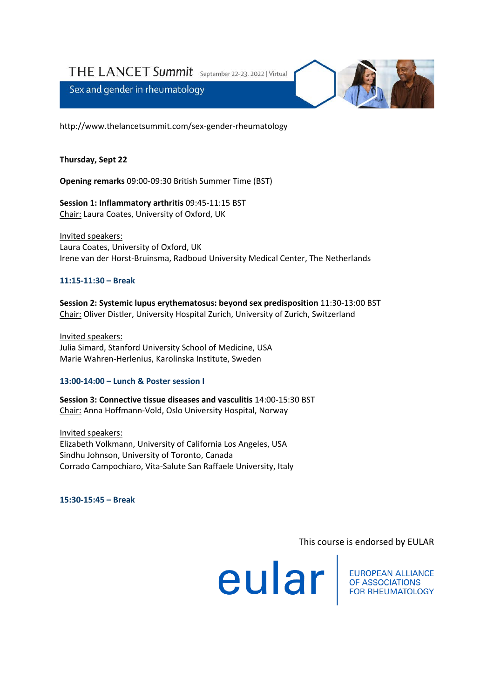THE LANCET Summit September 22-23, 2022 | Virtual

Sex and gender in rheumatology



http://www.thelancetsummit.com/sex-gender-rheumatology

## **Thursday, Sept 22**

**Opening remarks** 09:00-09:30 British Summer Time (BST)

**Session 1: Inflammatory arthritis** 09:45-11:15 BST Chair: Laura Coates, University of Oxford, UK

Invited speakers: Laura Coates, University of Oxford, UK Irene van der Horst-Bruinsma, Radboud University Medical Center, The Netherlands

## **11:15-11:30 – Break**

**Session 2: Systemic lupus erythematosus: beyond sex predisposition** 11:30-13:00 BST Chair: Oliver Distler, University Hospital Zurich, University of Zurich, Switzerland

Invited speakers: Julia Simard, Stanford University School of Medicine, USA Marie Wahren-Herlenius, Karolinska Institute, Sweden

### **13:00-14:00 – Lunch & Poster session I**

**Session 3: Connective tissue diseases and vasculitis** 14:00-15:30 BST Chair: Anna Hoffmann-Vold, Oslo University Hospital, Norway

Invited speakers: Elizabeth Volkmann, University of California Los Angeles, USA Sindhu Johnson, University of Toronto, Canada Corrado Campochiaro, Vita-Salute San Raffaele University, Italy

**15:30-15:45 – Break**

# This course is endorsed by EULAR

**european ALLIANCE**